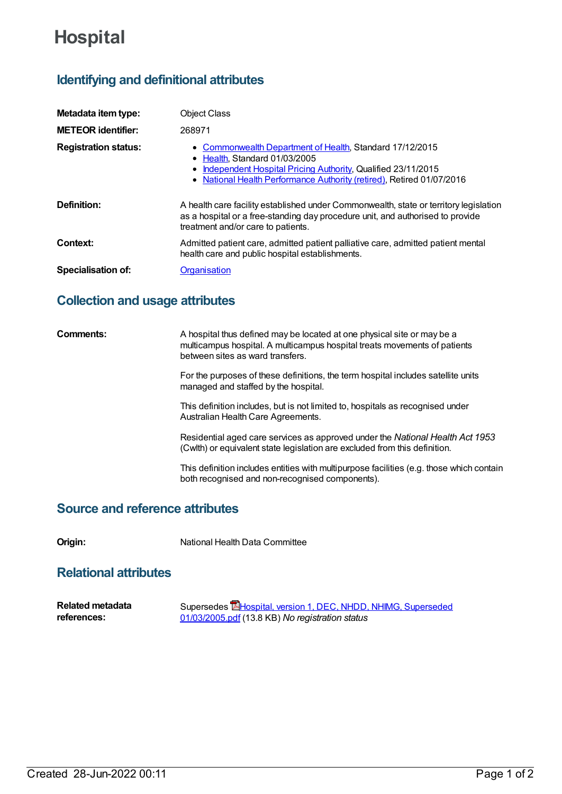# **Hospital**

# **Identifying and definitional attributes**

| Metadata item type:         | <b>Object Class</b>                                                                                                                                                                                                                           |
|-----------------------------|-----------------------------------------------------------------------------------------------------------------------------------------------------------------------------------------------------------------------------------------------|
| <b>METEOR identifier:</b>   | 268971                                                                                                                                                                                                                                        |
| <b>Registration status:</b> | • Commonwealth Department of Health, Standard 17/12/2015<br>Health. Standard 01/03/2005<br>Independent Hospital Pricing Authority, Qualified 23/11/2015<br>$\bullet$<br>• National Health Performance Authority (retired), Retired 01/07/2016 |
| Definition:                 | A health care facility established under Commonwealth, state or territory legislation<br>as a hospital or a free-standing day procedure unit, and authorised to provide<br>treatment and/or care to patients.                                 |
| Context:                    | Admitted patient care, admitted patient palliative care, admitted patient mental<br>health care and public hospital establishments.                                                                                                           |
| <b>Specialisation of:</b>   | Organisation                                                                                                                                                                                                                                  |

# **Collection and usage attributes**

| Comments: | A hospital thus defined may be located at one physical site or may be a<br>multicampus hospital. A multicampus hospital treats movements of patients<br>between sites as ward transfers. |
|-----------|------------------------------------------------------------------------------------------------------------------------------------------------------------------------------------------|
|           | For the purposes of these definitions, the term hospital includes satellite units<br>managed and staffed by the hospital.                                                                |
|           | This definition includes, but is not limited to, hospitals as recognised under<br>Australian Health Care Agreements.                                                                     |
|           | Residential aged care services as approved under the National Health Act 1953<br>(Cwlth) or equivalent state legislation are excluded from this definition.                              |
|           | This definition includes entities with multipurpose facilities (e.g. those which contain<br>both recognised and non-recognised components).                                              |

### **Source and reference attributes**

**Origin:** National Health Data Committee

# **Relational attributes**

| <b>Related metadata</b> | Supersedes <b>E</b> Hospital, version 1, DEC, NHDD, NHIMG, Superseded |
|-------------------------|-----------------------------------------------------------------------|
| references:             | 01/03/2005.pdf (13.8 KB) No registration status                       |